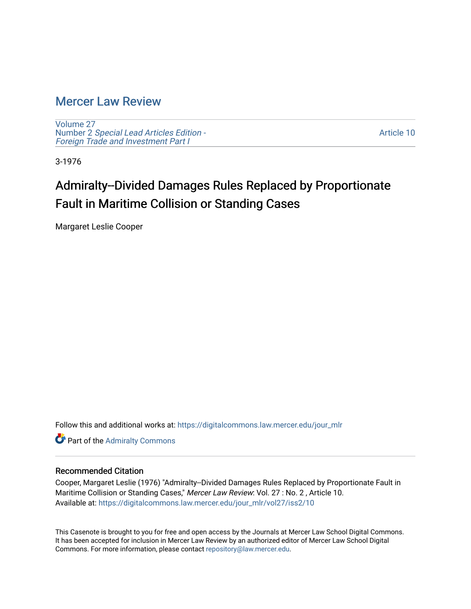## [Mercer Law Review](https://digitalcommons.law.mercer.edu/jour_mlr)

[Volume 27](https://digitalcommons.law.mercer.edu/jour_mlr/vol27) Number 2 [Special Lead Articles Edition -](https://digitalcommons.law.mercer.edu/jour_mlr/vol27/iss2) [Foreign Trade and Investment Part I](https://digitalcommons.law.mercer.edu/jour_mlr/vol27/iss2)

[Article 10](https://digitalcommons.law.mercer.edu/jour_mlr/vol27/iss2/10) 

3-1976

# Admiralty--Divided Damages Rules Replaced by Proportionate Fault in Maritime Collision or Standing Cases

Margaret Leslie Cooper

Follow this and additional works at: [https://digitalcommons.law.mercer.edu/jour\\_mlr](https://digitalcommons.law.mercer.edu/jour_mlr?utm_source=digitalcommons.law.mercer.edu%2Fjour_mlr%2Fvol27%2Fiss2%2F10&utm_medium=PDF&utm_campaign=PDFCoverPages)

**Part of the [Admiralty Commons](http://network.bepress.com/hgg/discipline/580?utm_source=digitalcommons.law.mercer.edu%2Fjour_mlr%2Fvol27%2Fiss2%2F10&utm_medium=PDF&utm_campaign=PDFCoverPages)** 

#### Recommended Citation

Cooper, Margaret Leslie (1976) "Admiralty--Divided Damages Rules Replaced by Proportionate Fault in Maritime Collision or Standing Cases," Mercer Law Review: Vol. 27 : No. 2 , Article 10. Available at: [https://digitalcommons.law.mercer.edu/jour\\_mlr/vol27/iss2/10](https://digitalcommons.law.mercer.edu/jour_mlr/vol27/iss2/10?utm_source=digitalcommons.law.mercer.edu%2Fjour_mlr%2Fvol27%2Fiss2%2F10&utm_medium=PDF&utm_campaign=PDFCoverPages) 

This Casenote is brought to you for free and open access by the Journals at Mercer Law School Digital Commons. It has been accepted for inclusion in Mercer Law Review by an authorized editor of Mercer Law School Digital Commons. For more information, please contact [repository@law.mercer.edu.](mailto:repository@law.mercer.edu)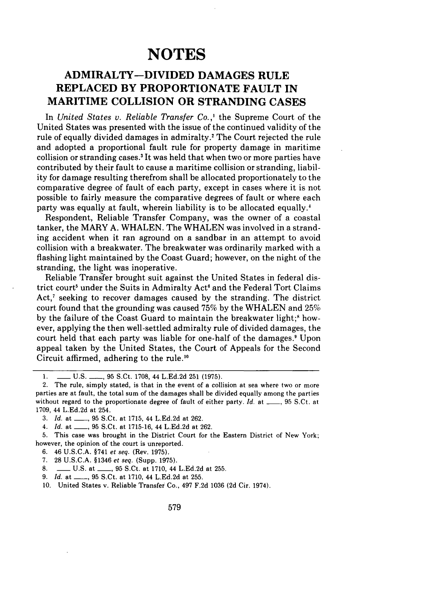## **NOTES**

### **ADMIRALTY-DIVIDED DAMAGES RULE REPLACED BY PROPORTIONATE FAULT IN MARITIME COLLISION OR STRANDING CASES**

In *United States v. Reliable Transfer Co.,'* the Supreme Court of the United States was presented with the issue of the continued validity of the rule of equally divided damages in admiralty.<sup>2</sup> The Court rejected the rule and adopted a proportional fault rule for property damage in maritime collision or stranding cases.3 It was held that when two or more parties have contributed by their fault to cause a maritime collision or stranding, liability for damage resulting therefrom shall be allocated proportionately to the comparative degree of fault of each party, except in cases where it is not possible to fairly measure the comparative degrees of fault or where each party was equally at fault, wherein liability is to be allocated equally.'

Respondent, Reliable Transfer Company, was the owner of a coastal tanker, the MARY A. WHALEN. The WHALEN was involved in a stranding accident when it ran aground on a sandbar in an attempt to avoid collision with a breakwater. The breakwater was ordinarily marked with a flashing light maintained by the Coast Guard; however, on the night of the stranding, the light was inoperative.

Reliable Transfer brought suit against the United States in federal district court<sup>5</sup> under the Suits in Admiralty Act<sup>6</sup> and the Federal Tort Claims Act, $^7$  seeking to recover damages caused by the stranding. The district court found that the grounding was caused **75%** by the WHALEN and 25% by the failure of the Coast Guard to maintain the breakwater light;" however, applying the then well-settled admiralty rule of divided damages, the court held that each party was liable for one-half of the damages.9 Upon appeal taken by the United States, the Court of Appeals for the Second Circuit affirmed, adhering to the rule.<sup>10</sup>

- 6. 46 U.S.C.A. §741 *et seq.* (Rev. 1975).
- 7. 28 U.S.C.A. §1346 *et seq.* (Supp. 1975).
- **8.** \_\_ U.S. at \_\_, 95 S.Ct. at 1710, 44 L.Ed.2d at 255.
- 9. *Id.* at \_\_\_\_, 95 S.Ct. at 1710, 44 L.Ed.2d at 255.
- 10. United States v. Reliable Transfer Co., 497 F.2d 1036 (2d Cir. 1974).

<sup>1.</sup> L.C.S. L., 95 S.Ct. 1708, 44 L.Ed.2d 251 (1975).

<sup>2.</sup> The rule, simply stated, is that in the event of a collision at sea where two or more parties are at fault, the total sum of the damages shall **be** divided equally among the parties without regard to the proportionate degree of fault of either party. *Id.* at **\_\_,** 95 S.Ct. at 1709, 44 L.Ed.2d at 254.

<sup>3.</sup> *Id.* at \_\_, 95 S.Ct. at 1715, 44 L.Ed.2d at 262.

*<sup>4.</sup> Id.* at \_\_, 95 S.Ct. at 1715-16, 44 L.Ed.2d at 262.

<sup>5.</sup> This case was brought in the District Court for the Eastern District of New York; however, the opinion of the court is unreported.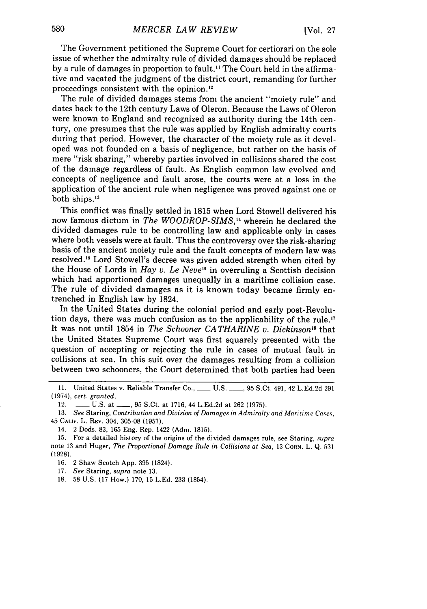The Government petitioned the Supreme Court for certiorari on the sole issue of whether the admiralty rule of divided damages should be replaced by a rule of damages in proportion to fault." The Court held in the affirmative and vacated the judgment of the district court, remanding for further proceedings consistent with the opinion.'

The rule of divided damages stems from the ancient "moiety rule" and dates back to the 12th century Laws of Oleron. Because the Laws of Oleron were known to England and recognized as authority during the 14th century, one presumes that the rule was applied by English admiralty courts during that period. However, the character of the moiety rule as it developed was not founded on a basis of negligence, but rather on the basis of mere "risk sharing," whereby parties involved in collisions shared the cost of the damage regardless of fault. As English common law evolved and concepts of negligence and fault arose, the courts were at a loss in the application of the ancient rule when negligence was proved against one or both ships."

This conflict was finally settled in 1815 when Lord Stowell delivered his now famous dictum in *The WOODROP-SIMS,14* wherein he declared the divided damages rule to be controlling law and applicable only in cases where both vessels were at fault. Thus the controversy over the risk-sharing basis of the ancient moiety rule and the fault concepts of modern law was resolved.<sup>15</sup> Lord Stowell's decree was given added strength when cited by the House of Lords in *Hay v. Le Neve <sup>6</sup>*in overruling a Scottish decision which had apportioned damages unequally in a maritime collision case. The rule of divided damages as it is known today became firmly entrenched in English law by 1824.

In the United States during the colonial period and early post-Revolution days, there was much confusion as to the applicability of the rule." It was not until 1854 in *The Schooner CA THARINE v. Dickinson"8* that the United States Supreme Court was first squarely presented with the question of accepting or rejecting the rule in cases of mutual fault in collisions at sea. In this suit over the damages resulting from a collision between two schooners, the Court determined that both parties had been

11. United States v. Reliable Transfer Co., **-** U.S. **-,** 95 S.Ct. 491, 42 L.Ed.2d 291 (1974), *cert. granted.*

12. **-- U.S. at -- 95 S.Ct. at 1716, 44 L.Ed.2d at 262 (1975).** 

13. *See* Staring, *Contribution and Division of Damages in Admiralty and Maritime Cases,* 45 **CALIF.** L. REV. 304, 305-08 (1957).

14. 2 Dods. 83, 165 Eng. Rep. 1422 (Adm. 1815).

15. For a detailed history of the origins of the divided damages rule, see Staring, *supra* note 13 and Huger, *The Proportional Damage Rule in Collisions at Sea,* 13 CORN. L. Q. 531 (1928).

16. 2 Shaw Scotch App. 395 (1824).

17. *See* Staring, *supra* note 13.

18. 58 U.S. (17 How.) 170, 15 L.Ed. 233 (1854).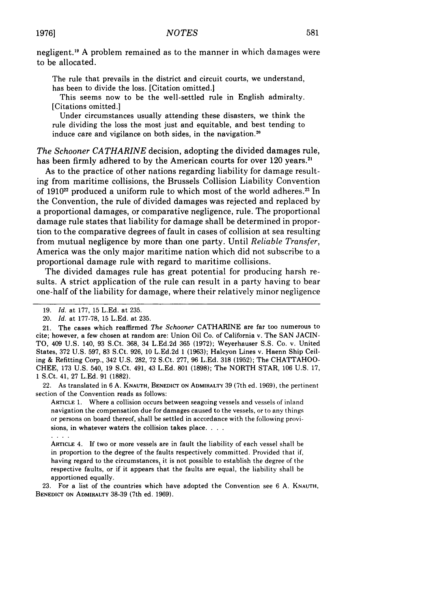negligent."' A problem remained as to the manner in which damages were to be allocated.

The rule that prevails in the district and circuit courts, we understand, has been to divide the loss. [Citation omitted.]

This seems now to be the well-settled rule in English admiralty. [Citations omitted.]

Under circumstances usually attending these disasters, we think the rule dividing the loss the most just and equitable, and best tending to induce care and vigilance on both sides, in the navigation."

*The Schooner CATHARINE* decision, adopting the divided damages rule, has been firmly adhered to by the American courts for over 120 years.<sup>21</sup>

As to the practice of other nations regarding liability for damage resulting from maritime collisions, the Brussels Collision Liability Convention of 1910<sup>22</sup> produced a uniform rule to which most of the world adheres.<sup>23</sup> In the Convention, the rule of divided damages was rejected and replaced by a proportional damages, or comparative negligence, rule. The proportional damage rule states that liability for damage shall be determined in proportion to the comparative degrees of fault in cases of collision at sea resulting from mutual negligence by more than one party. Until *Reliable Transfer,* America was the only major maritime nation which did not subscribe to a proportional damage rule with regard to maritime collisions.

The divided damages rule has great potential for producing harsh results. A strict application of the rule can result in a party having to bear one-half of the liability for damage, where their relatively minor negligence

22. As translated in 6 A. **KNAUTH,** BENEDICT **ON ADMIRALTY 39** (7th ed. 1969), the pertinent section of the Convention reads as follows:

ARTICLE 1. Where a collision occurs between seagoing vessels and vessels of inland navigation the compensation due for damages caused to the vessels, or to any things or persons on board thereof, shall be settled in accordance with the following provisions, in whatever waters the collision takes place. **...**

 $\mathbf{1}$ 

ARTICLE 4. **If** two or more vessels are in fault the liability of each vessel shall be in proportion to the degree of the faults respectively committed. Provided that if, having regard to the circumstances, it is not possible to establish the degree of the respective faults, or if it appears that the faults are equal, the liability shall be apportioned equally.

**23.** For a list of the countries which have adopted the Convention see **6 A. KNAUTH, BENEDICT ON ADMIRALTY 38-39** (7th ed. **1969).**

**<sup>19.</sup>** *Id.* at 177, 15 L.Ed. at 235.

<sup>20.</sup> *Id.* at 177-78, 15 L.Ed. at 235.

<sup>21.</sup> The cases which reaffirmed *The Schooner* CATHARINE are far too numerous to cite; however, a few chosen at random are: Union Oil Co. of California v. The SAN JACIN-TO, 409 U.S. 140, 93 S.Ct. 368, 34 L.Ed.2d 365 (1972); Weyerhauser S.S. Co. v. United States, 372 U.S. 597, 83 S.Ct. 926, 10 L.Ed.2d 1 (1963); Halcyon Lines v. Haenn Ship Ceiling & Refitting Corp., 342 U.S. 282, 72 S.Ct. 277, 96 L.Ed. 318 (1952); The CHATTAHOO-CHEE, 173 U.S. 540, 19 S.Ct. 491, 43 L.Ed. 801 (1898); The NORTH STAR, 106 U.S. 17, 1 S.Ct. 41, 27 L.Ed. 91 (1882).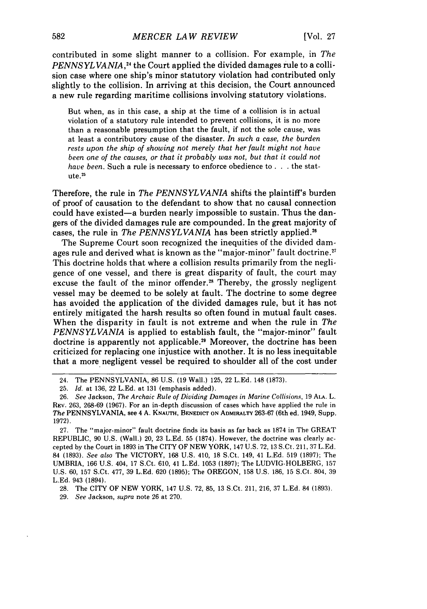contributed in some slight manner to a collision. For example, in *The PENNSYLVANIA, <sup>4</sup>*the Court applied the divided damages rule to a collision case where one ship's minor statutory violation had contributed only slightly to the collision. In arriving at this decision, the Court announced a new rule regarding maritime collisions involving statutory violations.

But when, as in this case, a ship at the time of a collision is in actual violation of a statutory rule intended to prevent collisions, it is no more than a reasonable presumption that the fault, if not the sole cause, was at least a contributory cause of the disaster. *In such a case, the burden rests upon the ship of showing not merely that her fault might not have been one of the causes, or that it probably was not, but that it could not have been.* Such a rule is necessary to enforce obedience to . . . the statute.25

Therefore, the rule in *The PENNSYLVANIA* shifts the plaintiff's burden of proof of causation to the defendant to show that no causal connection could have existed-a burden nearly impossible to sustain. Thus the dangers of the divided damages rule are compounded. In the great majority of cases, the rule in *The PENNSYLVANIA* has been strictly applied.<sup>26</sup>

The Supreme Court soon recognized the inequities of the divided damages rule and derived what is known as the "major-minor" fault doctrine.<sup>27</sup> This doctrine holds that where a collision results primarily from the negligence of one vessel, and there is great disparity of fault, the court may excuse the fault of the minor offender.<sup>28</sup> Thereby, the grossly negligent vessel may be deemed to be solely at fault. The doctrine to some degree has avoided the application of the divided damages rule, but it has not entirely mitigated the harsh results so often found in mutual fault cases. When the disparity in fault is not extreme and when the rule in *The PENNSYLVANIA* is applied to establish fault, the "major-minor" fault doctrine is apparently not applicable.<sup>20</sup> Moreover, the doctrine has been criticized for replacing one injustice with another. It is no less inequitable that a more negligent vessel be required to shoulder all of the cost under

27. The "major-minor" fault doctrine finds its basis as far back as 1874 in The GREAT REPUBLIC, 90 U.S. (Wall.) 20, 23 L.Ed. 55 (1874). However, the doctrine was clearly accepted by the Court in 1893 in The CITY OF NEW YORK, 147 U.S. 72, 13 S.Ct. 211, 37 L.Ed. 84 (1893). *See also* The VICTORY, 168 U.S. 410, 18 S.Ct. 149, 41 L.Ed. 519 (1897); The UMBRIA, 166 U.S. 404, 17 S.Ct. 610, 41 L.Ed. 1053 (1897); The LUDVIG-HOLBERG, 157 U.S. 60, 157 S.Ct. 477, 39 L.Ed. 620 (1895); The OREGON, 158 U.S. 186, 15 S.Ct. 804, 39 **L.Ed.** 943 (1894).

28. The CITY OF NEW YORK, 147 U.S. 72, 85, 13 S.Ct. 211, 216, 37 L.Ed. 84 (1893).

29. *See* Jackson, *supra* note 26 at 270.

<sup>24.</sup> The PENNSYLVANIA, 86 U.S. (19 Wall.) 125, 22 L.Ed. 148 (1873).

<sup>25.</sup> *Id.* at 136, 22 L.Ed. at 131 (emphasis added).

<sup>26.</sup> *See* Jackson, *The Archaic Rule of Dividing Damages in Marine Collisions,* 19 **ALA.** L. REV. 263, 268-69 (1967). For an in-depth discussion of cases which have applied the rule in *The* PENNSYLVANIA, see 4 A. **KNAUTH, BENEDICT** ON **ADMIRALTY** 263-67 (6th ed. 1949, Supp. 1972).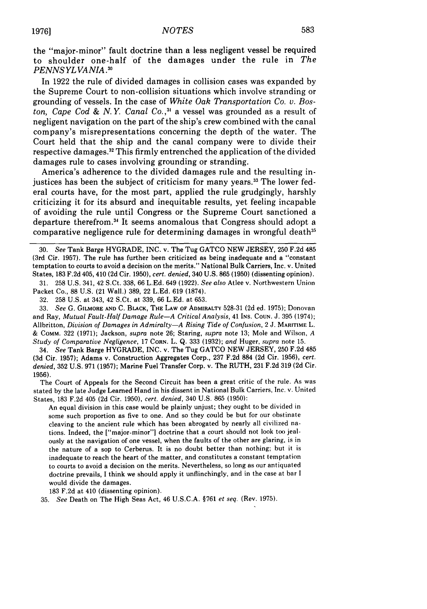the "major-minor" fault doctrine than a less negligent vessel be required to shoulder one-half of the damages under the rule in *The PENNS YL VANIA .o*

In 1922 the rule of divided damages in collision cases was expanded by the Supreme Court to non-collision situations which involve stranding or grounding of vessels. In the case of *White Oak Transportation Co. v. Boston, Cape Cod & N.Y. Canal Co.,"* a vessel was grounded as a result of negligent navigation on the part of the ship's crew combined with the canal company's misrepresentations concerning the depth of the water. The Court held that the ship and the canal company were to divide their respective damages.<sup>32</sup> This firmly entrenched the application of the divided damages rule to cases involving grounding or stranding.

America's adherence to the divided damages rule and the resulting injustices has been the subject of criticism for many years.<sup>33</sup> The lower federal courts have, for the most part, applied the rule grudgingly, harshly criticizing it for its absurd and inequitable results, yet feeling incapable of avoiding the rule until Congress or the Supreme Court sanctioned a departure therefrom.<sup>34</sup> It seems anomalous that Congress should adopt a comparative negligence rule for determining damages in wrongful death $35$ 

30. *See* Tank Barge HYGRADE, INC. v. The Tug GATCO NEW JERSEY, 250 F.2d 485 (3rd Cir. 1957). The rule has further been criticized as being inadequate and a "constant temptation to courts to avoid a decision on the merits." National Bulk Carriers, Inc. v. United States, 183 F.2d 405, 410 (2d Cir. 1950), *cert. denied,* 340 U.S. 865 (1950) (dissenting opinion).

31. 258 U.S. 341, 42 S.Ct. 338, 66 L.Ed. 649 (1922). *See also* Atlee v. Northwestern Union Packet Co., 88 U.S. (21 Wall.) 389, 22 LEd. 619 (1874).

32. 258 U.S, at 343, 42 S.Ct. at 339, 66 L.Ed. at 653.

33. *See* G. GILMORE **AND** C. BLACK, **THE LAW OF** ADMIRALTY 528-31 (2d ed. 1975); Donovan and Ray, *Mutual Fault-Half Damage Rule-A Critical Analysis*, 41 Ins. Coun. J. 395 (1974); Allbritton, *Division of Damages in Admiralty-A Rising Tide of Confusion,* 2 J. **MARITIME** L. & COMM. 322 (1971); Jackson, *supra* note 26; Staring, *supra* note 13; Mole and Wilson, *A Study of Comparative Negligence,* **17 CORN.** L. Q. 333 (1932); *and* Huger, *supra* note 15.

34. *See* Tank Barge HYGRADE, INC. v. The Tug GATCO NEW JERSEY, 250 F.2d 485 (3d Cir. 1957); Adams v. Construction Aggregates Corp., 237 F.2d 884 (2d Cir. 1956), *cert. denied,* 352 U.S. 971 (1957); Marine Fuel Transfer Corp. v. The RUTH, 231 F.2d 319 (2d Cir. 1956).

The Court of Appeals for the Second Circuit has been a great critic of the rule. As was stated by the late Judge Learned Hand in his dissent in National Bulk Carriers, Inc. v. United States, 183 F.2d 405 (2d Cir. 1950), *cert. denied,* 340 U.S, 865 (1950):

An equal division in this case would be plainly unjust; they ought to be divided in some such proportion as five to one. And so they could be but for our obstinate cleaving to the ancient rule which has been abrogated by nearly all civilized nations. Indeed, the ["major-minor"] doctrine that a court should not look too jealously at the navigation of one vessel, when the faults of the other are glaring, is in the nature of a sop to Cerberus. It is no doubt better than nothing; but it is inadequate to reach the heart of the matter, and constitutes a constant temptation to courts to avoid a decision on the merits. Nevertheless, so long as our antiquated doctrine prevails, I think we should apply it unflinchingly, and in the case at bar I would divide the damages.

183 F.2d at 410 (dissenting opinion).

35. *See* Death on The High Seas Act, 46 U.S.C.A. §761 *et seq.* (Rev. 1975).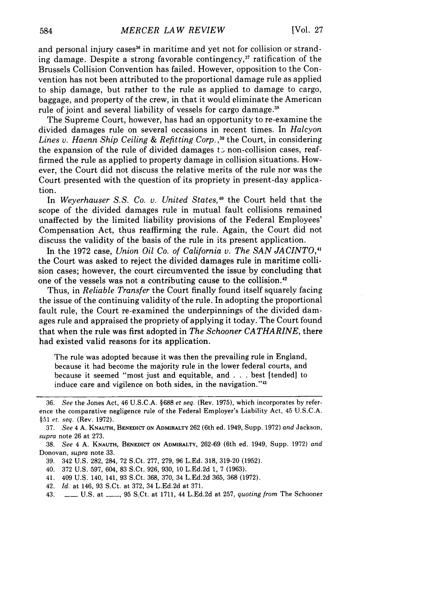and personal injury cases<sup>36</sup> in maritime and yet not for collision or stranding damage. Despite a strong favorable contingency, $37$  ratification of the Brussels Collision Convention has failed. However, opposition to the Convention has not been attributed to the proportional damage rule as applied to ship damage, but rather to the rule as applied to damage to cargo, baggage, and property of the crew, in that it would eliminate the American rule of joint and several liability of vessels for cargo damage.<sup>38</sup>

The Supreme Court, however, has had an opportunity to re-examine the divided damages rule on several occasions in recent times. In *Halcyon Lines v. Haenn Ship Ceiling & Refitting Corp.*<sup>39</sup> the Court, in considering the expansion of the rule of divided damages to non-collision cases, reaffirmed the rule as applied to property damage in collision situations. However, the Court did not discuss the relative merits of the rule nor was the Court presented with the question of its propriety in present-day application.

In *Weyerhauser S.S. Co. v. United States*,<sup>40</sup> the Court held that the scope of the divided damages rule in mutual fault collisions remained unaffected by the limited liability provisions of the Federal Employees' Compensation Act, thus reaffirming the rule. Again, the Court did not discuss the validity of the basis of the rule in its present application.

In the 1972 case, *Union Oil Co. of California v. The SAN JACINTO,4* the Court was asked to reject the divided damages rule in maritime collision cases; however, the court circumvented the issue by concluding that one of the vessels was not a contributing cause to the collision.42

Thus, in *Reliable Transfer* the Court finally found itself squarely facing the issue of the continuing validity of the rule. In adopting the proportional fault rule, the Court re-examined the underpinnings of the divided damages rule and appraised the propriety of applying it today. The Court found that when the rule was first adopted in *The Schooner CATHARINE,* there had existed valid reasons for its application.

The rule was adopted because it was then the prevailing rule in England, because it had become the majority rule in the lower federal courts, and because it seemed "most just and equitable, and .**.** .best [tended] to induce care and vigilence on both sides, in the navigation."<sup>43</sup>

- 40. 372 U.S. 597, 604, 83 S.Ct. 926, 930, 10 L.Ed.2d 1, 7 (1963).
- 41. 409 U.S. 140, 141, 93 S.Ct. 368, 370, 34 L.Ed.2d 365, 368 (1972).
- 42. *Id.* at 146, 93 S.Ct. at 372, 34 L.Ed.2d at 371.
- 43. \_\_ U.S. at **-,** 95 S.Ct. at 1711, 44 L.Ed.2d at 257, *quoting from* The Schooner

<sup>36.</sup> See the Jones Act, 46 U.S.C.A. §688 et seq. (Rev. 1975), which incorporates by reference the comparative negligence rule of the Federal Employer's Liability Act, 45 U.S.C.A. §51 et. seq. (Rev. 1972).

<sup>37.</sup> See 4 A. **KNAUTH, BENEDICT ON** ADMIRALTY 262 (6th ed. 1949, Supp. 1972) and Jackson, *supra* note 26 at 273.

<sup>38.</sup> *See* 4 A. **KNAUTH, BENEDICT ON ADMIRALTY,** 262-69 (6th ed. 1949, Supp. 1972) *and* Donovan, *supra* note 33.

<sup>39. 342</sup> U.S. 282, 284, 72 S.Ct. 277, 279, 96 L.Ed. 318, 319-20 (1952).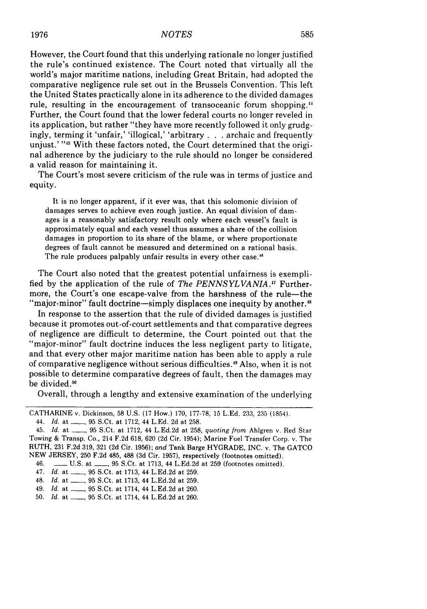However, the Court found that this underlying rationale no longer justified the rule's continued existence. The Court noted that virtually all the world's major maritime nations, including Great Britain, had adopted the comparative negligence rule set out in the Brussels Convention. This left the United States practically alone in its adherence to the divided damages rule, resulting in the encouragement of transoceanic forum shopping.<sup>44</sup> Further, the Court found that the lower federal courts no longer reveled in its application, but rather "they have more recently followed it only grudgingly, terming it 'unfair,' 'illogical,' 'arbitrary **. .** .archaic and frequently unjust.' "<sup>45</sup> With these factors noted, the Court determined that the original adherence by the judiciary to the rule should no longer be considered a valid reason for maintaining it.

The Court's most severe criticism of the rule was in terms of justice and equity.

It is no longer apparent, if it ever was, that this solomonic division of damages serves to achieve even rough justice. An equal division of damages is a reasonably satisfactory result only where each vessel's fault is approximately equal and each vessel thus assumes a share of the collision damages in proportion to its share of the blame, or where proportionate degrees of fault cannot be measured and determined on a rational basis. The rule produces palpably unfair results in every other case.<sup>46</sup>

The Court also noted that the greatest potential unfairness is exemplified by the application of the rule of *The PENNSYLVANIA*.<sup>47</sup> Furthermore, the Court's one escape-valve from the harshness of the rule-the "major-minor" fault doctrine-simply displaces one inequity by another.<sup>48</sup>

In response to the assertion that the rule of divided damages is justified because it promotes out-of-court settlements and that comparative degrees of negligence are difficult to determine, the Court pointed out that the "major-minor" fault doctrine induces the less negligent party to litigate, and that every other major maritime nation has been able to apply a rule of comparative negligence without serious difficulties.<sup>49</sup> Also, when it is not possible to determine comparative degrees of fault, then the damages may be divided.<sup>50</sup>

Overall, through a lengthy and extensive examination of the underlying

CATHARINE v. Dickinson, 58 U.S. (17 How.) 170, 177-78, 15 L.Ed. 233, 235 (1854).

<sup>44.</sup> *Id.* at \_\_\_, 95 S.Ct. at 1712, 44 L.Ed. 2d at 258.

<sup>45.</sup> *Id.* at \_\_, 95 S.Ct. at 1712, 44 L.Ed.2d at 258, *quoting from* Ahlgren v. Red Star Towing & Transp. Co., 214 F.2d 618, 620 (2d Cir. 1954); Marine Fuel Transfer Corp. v. The RUTH, 231 F.2d 319, 321 (2d Cir. 1956); *and* Tank Barge HYGRADE, INC. v. The GATCO NEW JERSEY, 250 F.2d 485, 488 (3d Cir. 1957), respectively (footnotes omitted).

<sup>46.</sup> **-** U.S. at \_\_, 95 S.Ct. at 1713, 44 L.Ed.2d at 259 (footnotes omitted).

<sup>47.</sup> *Id.* at \_\_\_, 95 S.Ct. at 1713, 44 L.Ed.2d at 259.

<sup>48.</sup> *Id.* at \_\_\_, 95 S.Ct. at 1713, 44 L.Ed.2d at 259.

<sup>49.</sup> *Id.* at \_\_\_, 95 S.Ct. at 1714, 44 L.Ed.2d at 260.

<sup>50.</sup> *Id.* at \_\_, 95 S.Ct. at 1714, 44 L.Ed.2d at 260.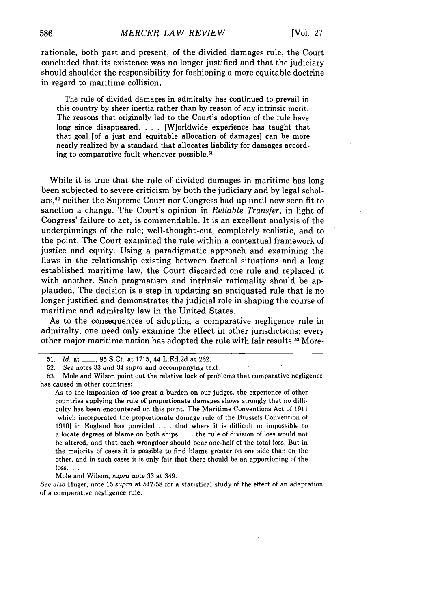rationale, both past and present, of the divided damages rule, the Court concluded that its existence was no longer justified and that the judiciary should shoulder the responsibility for fashioning a more equitable doctrine in regard to maritime collision.

The rule of divided damages in admiralty has continued to prevail in this country by sheer inertia rather than by reason of any intrinsic merit. The reasons that originally led to the Court's adoption of the rule have long since disappeared. . . . [W]orldwide experience has taught that that goal [of a just and equitable allocation of damages] can be more nearly realized by a standard that allocates liability for damages according to comparative fault whenever possible.<sup>51</sup>

While it is true that the rule of divided damages in maritime has long been subjected to severe criticism by both the judiciary and by legal scholars,<sup>52</sup> neither the Supreme Court nor Congress had up until now seen fit to sanction a change. The Court's opinion in *Reliable Transfer,* in light of Congress' failure to act, is commendable. It is an excellent analysis of the underpinnings of the rule; well-thought-out, completely realistic, and to the point. The Court examined the rule within a contextual framework of justice and equity. Using a paradigmatic approach and examining the flaws in the relationship existing between factual situations and a long established maritime law, the Court discarded one rule and replaced it with another. Such pragmatism and intrinsic rationality should be applauded. The decision is a step in updating an antiquated rule that is no longer justified and demonstrates the judicial role in shaping the course of maritime and admiralty law in the United States.

As to the consequences of adopting a comparative negligence rule in admiralty, one need only examine the effect in other jurisdictions; every other major maritime nation has adopted the rule with fair results.5 3 More-

As to the imposition of too great a burden on our judges, the experience of other countries applying the rule of proportionate damages shows strongly that no difficulty has been encountered on this point. The Maritime Conventions Act of 1911 [which incorporated the proportionate damage rule of the Brussels Convention of 1910] in England has provided . . . that where it is difficult or impossible to allocate degrees of blame on both ships . . . the rule of division of loss would not be altered, and that each wrongdoer should bear one-half of the total loss. But in the majority of cases it is possible to find blame greater on one side than on the other, and in such cases it is only fair that there should be an apportioning of the loss. . **..**

Mole and Wilson, *supra* note 33 at 349.

*See also* Huger, note 15 *supra* at 547-58 for a statistical study of the effect of an adaptation of a comparative negligence rule.

<sup>51.</sup> *Id.* at **\_\_** 95 S.Ct. at 1715, 44 L.Ed.2d at 262.

<sup>52.</sup> *See* notes 33 *and* 34 *supra* and accompanying text.

<sup>53.</sup> Mole and Wilson point out the relative lack of problems that comparative negligence has caused in other countries: